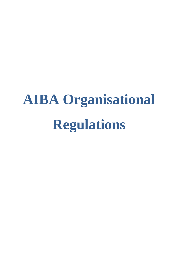# **AIBA Organisational Regulations**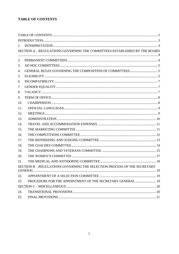# <span id="page-1-0"></span>**TABLE OF CONTENTS**

| 1.  |                                                                           |  |
|-----|---------------------------------------------------------------------------|--|
|     | SECTION A - REGULATIONS GOVERNING THE COMMITTEES ESTABLISHED BY THE BOARD |  |
|     |                                                                           |  |
| 2.  |                                                                           |  |
| 3.  |                                                                           |  |
| 4.  |                                                                           |  |
| 5.  |                                                                           |  |
| 6.  |                                                                           |  |
| 7.  |                                                                           |  |
| 8.  |                                                                           |  |
| 9.  |                                                                           |  |
| 10. |                                                                           |  |
| 11. |                                                                           |  |
| 12. |                                                                           |  |
| 13. |                                                                           |  |
| 14. |                                                                           |  |
| 15. |                                                                           |  |
| 16. |                                                                           |  |
| 17. |                                                                           |  |
| 18. |                                                                           |  |
| 19. |                                                                           |  |
| 20. |                                                                           |  |
| 21. |                                                                           |  |
|     | SECTION B - REGULATIONS GOVERNING THE SELECTION PROCESS OF THE SECRETARY  |  |
| 22. |                                                                           |  |
| 23. | PROCEDURE FOR THE APPOINTMENT OF THE SECRETARY GENERAL  19                |  |
|     |                                                                           |  |
| 24. |                                                                           |  |
| 25. |                                                                           |  |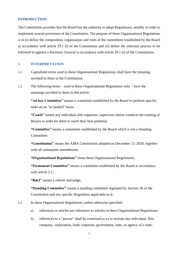#### <span id="page-2-0"></span>**INTRODUCTION**

The Constitution provides that the Board has the authority to adopt Regulations, notably in order to implement several provisions of the Constitution. The purpose of these Organisational Regulations is to (i) define the composition, organisation and roles of the committees established by the Board in accordance with article 29.1 (l) of the Constitution and (ii) define the selection process to be followed to appoint a Secretary General in accordance with article 29.1 (r) of the Constitution.

# <span id="page-2-1"></span>**1. INTERPRETATION**

- 1.1 Capitalized terms used in these Organisational Regulations shall have the meaning ascribed to them in the Constitution.
- 1.2 The following terms used in these Organisational Regulations only have the meanings ascribed to them in this article:

**"Ad hoc Committee"** means a committee established by the Board to perform specific tasks on an "as needed" basis;

**"Coach"** means any individual who organises, supervises and/or conducts the training of Boxers in order for them to reach their best potential;

**"Committee"** means a committee established by the Board which is not a Standing Committee;

**"Constitution"** means the AIBA Constitution adopted on December 13, 2020, together with all subsequent amendments;

**"Organisational Regulations"** mean these Organisational Regulations;

**"Permanent Committee"** means a committee established by the Board in accordance with article 2.1:

**"R&J"** means a referee and judge;

**"Standing Committee"** means a standing committee regulated by Section 36 of the Constitution and any specific Regulation applicable to it;

#### 1.3 In these Organisational Regulations, unless otherwise specified:

- a) references to articles are references to articles in these Organisational Regulations;
- b) references to a "person" shall be construed so as to include any individual, firm, company, corporation, body corporate, government, state, or agency of a state,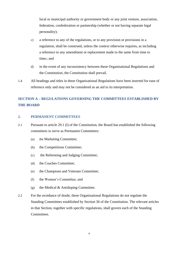local or municipal authority or government body or any joint venture, association, federation, confederation or partnership (whether or not having separate legal personality);

- c) a reference to any of the regulations, or to any provision or provisions in a regulation, shall be construed, unless the context otherwise requires, as including a reference to any amendment or replacement made to the same from time to time.; and
- d) in the event of any inconsistency between these Organisational Regulations and the Constitution, the Constitution shall prevail.
- 1.4 All headings and titles in these Organisational Regulations have been inserted for ease of reference only and may not be considered as an aid to its interpretation.

# <span id="page-3-0"></span>**SECTION A – REGULATIONS GOVERNING THE COMMITTEES ESTABLISHED BY THE BOARD**

# <span id="page-3-1"></span>**2. PERMANENT COMMITTEES**

- 2.1 Pursuant to article 29.1 (l) of the Constitution, the Board has established the following committees to serve as Permanent Committees:
	- (a) the Marketing Committee;
	- (b) the Competitions Committee;
	- (c) the Refereeing and Judging Committee;
	- (d) the Coaches Committee;
	- (e) the Champions and Veterans Committee;
	- (f) the Women's Committee; and
	- (g) the Medical  $&$  Antidoping Committee.
- 2.2 For the avoidance of doubt, these Organisational Regulations do not regulate the Standing Committees established by Section 36 of the Constitution. The relevant articles in that Section, together with specific regulations, shall govern each of the Standing Committees.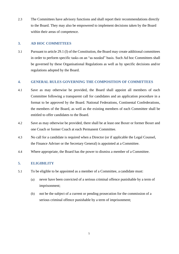2.3 The Committees have advisory functions and shall report their recommendations directly to the Board. They may also be empowered to implement decisions taken by the Board within their areas of competence.

# <span id="page-4-0"></span>**3. AD HOC COMMITTEES**

3.1 Pursuant to article 29.1 (l) of the Constitution, the Board may create additional committees in order to perform specific tasks on an "as needed" basis. Such Ad hoc Committees shall be governed by these Organisational Regulations as well as by specific decisions and/or regulations adopted by the Board.

# <span id="page-4-1"></span>**4. GENERAL RULES GOVERNING THE COMPOSITION OF COMMITTEES**

- 4.1 Save as may otherwise be provided, the Board shall appoint all members of each Committee following a transparent call for candidates and an application procedure in a format to be approved by the Board. National Federations, Continental Confederations, the members of the Board, as well as the existing members of each Committee shall be entitled to offer candidates to the Board.
- <span id="page-4-3"></span>4.2 Save as may otherwise be provided, there shall be at least one Boxer or former Boxer and one Coach or former Coach at each Permanent Committee.
- 4.3 No call for a candidate is required when a Director (or if applicable the Legal Counsel, the Finance Adviser or the Secretary General) is appointed at a Committee.
- 4.4 Where appropriate, the Board has the power to dismiss a member of a Committee.

# <span id="page-4-2"></span>**5. ELIGIBILITY**

- <span id="page-4-4"></span>5.1 To be eligible to be appointed as a member of a Committee, a candidate must:
	- (a) never have been convicted of a serious criminal offence punishable by a term of imprisonment;
	- (b) not be the subject of a current or pending prosecution for the commission of a serious criminal offence punishable by a term of imprisonment;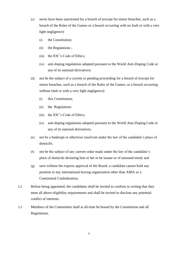- (c) never have been sanctioned for a breach of (except for minor breaches, such as a breach of the Rules of the Games or a breach occurring with no fault or with a very light negligence):
	- (i) the Constitution;
	- (ii) the Regulations ;
	- (iii) the IOC's Code of Ethics;
	- (iv) anti-doping regulations adopted pursuant to the World Anti-Doping Code or any of its national derivatives;
- (d) not be the subject of a current or pending proceeding for a breach of (except for minor breaches, such as a breach of the Rules of the Games, or a breach occurring without fault or with a very light negligence):
	- (i) this Constitution;
	- (ii) the Regulations
	- (iii) the IOC's Code of Ethics;
	- (iv) anti-doping regulations adopted pursuant to the World Anti-Doping Code or any of its national derivatives;
- (e) not be a bankrupt or otherwise insolvent under the law of the candidate's place of domicile;
- (f) not be the subject of any current order made under the law of the candidate's place of domicile declaring him or her to be insane or of unsound mind; and
- <span id="page-5-0"></span>(g) save without the express approval of the Board, a candidate cannot hold any position in any international boxing organization other than AIBA or a Continental Confederation.
- 5.2 Before being appointed, the candidates shall be invited to confirm in writing that they meet all above eligibility requirements and shall be invited to disclose any potential conflict of interests.
- 5.3 Members of the Committees shall at all-time be bound by the Constitution and all Regulations.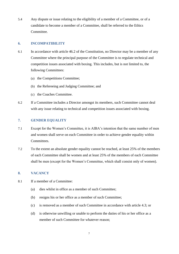5.4 Any dispute or issue relating to the eligibility of a member of a Committee, or of a candidate to become a member of a Committee, shall be referred to the Ethics Committee.

# <span id="page-6-0"></span>**6. INCOMPATIBILITY**

- 6.1 In accordance with article 46.2 of the Constitution, no Director may be a member of any Committee where the principal purpose of the Committee is to regulate technical and competition issues associated with boxing. This includes, but is not limited to, the following Committees:
	- (a) the Competitions Committee;
	- (b) the Refereeing and Judging Committee; and
	- (c) the Coaches Committee.
- 6.2 If a Committee includes a Director amongst its members, such Committee cannot deal with any issue relating to technical and competition issues associated with boxing.

# <span id="page-6-1"></span>**7. GENDER EQUALITY**

- 7.1 Except for the Women's Committee, it is AIBA's intention that the same number of men and women shall serve on each Committee in order to achieve gender equality within **Committees.**
- 7.2 To the extent an absolute gender equality cannot be reached, at least 25% of the members of each Committee shall be women and at least 25% of the members of each Committee shall be men (except for the Women's Committee, which shall consist only of women).

# <span id="page-6-2"></span>**8. VACANCY**

- 8.1 If a member of a Committee:
	- (a) dies whilst in office as a member of such Committee;
	- (b) resigns his or her office as a member of such Committee;
	- (c) is removed as a member of such Committee in accordance with article 4.3; or
	- (d) is otherwise unwilling or unable to perform the duties of his or her office as a member of such Committee for whatever reason;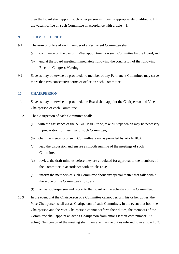then the Board shall appoint such other person as it deems appropriately qualified to fill the vacant office on such Committee in accordance with article 4.1.

#### <span id="page-7-0"></span>**9. TERM OF OFFICE**

- 9.1 The term of office of each member of a Permanent Committee shall:
	- (a) commence on the day of his/her appointment on such Committee by the Board; and
	- (b) end at the Board meeting immediately following the conclusion of the following Election Congress Meeting.
- <span id="page-7-4"></span>9.2 Save as may otherwise be provided, no member of any Permanent Committee may serve more than two consecutive terms of office on such Committee.

#### <span id="page-7-1"></span>**10. CHAIRPERSON**

- 10.1 Save as may otherwise be provided, the Board shall appoint the Chairperson and Vice-Chairperson of each Committee.
- <span id="page-7-3"></span>10.2 The Chairperson of each Committee shall:
	- (a) with the assistance of the AIBA Head Office, take all steps which may be necessary in preparation for meetings of such Committee;
	- (b) chair the meetings of such Committee, save as provided by article [10.3;](#page-7-2)
	- (c) lead the discussion and ensure a smooth running of the meetings of such Committee;
	- (d) review the draft minutes before they are circulated for approval to the members of the Committee in accordance with article [13.3;](#page-10-2)
	- (e) inform the members of such Committee about any special matter that falls within the scope of the Committee's role; and
	- (f) act as spokesperson and report to the Board on the activities of the Committee.
- <span id="page-7-2"></span>10.3 In the event that the Chairperson of a Committee cannot perform his or her duties, the Vice-Chairperson shall act as Chairperson of such Committee. In the event that both the Chairperson and the Vice-Chairperson cannot perform their duties, the members of the Committee shall appoint an acting Chairperson from amongst their own number. An acting Chairperson of the meeting shall then exercise the duties referred to in article [10.2.](#page-7-3)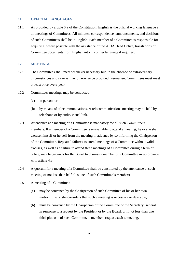#### <span id="page-8-0"></span>**11. OFFICIAL LANGUAGES**

11.1 As provided by article 6.2 of the Constitution, English is the official working language at all meetings of Committees. All minutes, correspondence, announcements, and decisions of such Committees shall be in English. Each member of a Committee is responsible for acquiring, where possible with the assistance of the AIBA Head Office, translations of Committee documents from English into his or her language if required.

#### <span id="page-8-1"></span>**12. MEETINGS**

- <span id="page-8-2"></span>12.1 The Committees shall meet whenever necessary but, in the absence of extraordinary circumstances and save as may otherwise be provided, Permanent Committees must meet at least once every year.
- 12.2 Committees meetings may be conducted:
	- (a) in person, or
	- (b) by means of telecommunications. A telecommunications meeting may be held by telephone or by audio-visual link.
- <span id="page-8-3"></span>12.3 Attendance at a meeting of a Committee is mandatory for all such Committee's members. If a member of a Committee is unavailable to attend a meeting, he or she shall excuse himself or herself from the meeting in advance by so informing the Chairperson of the Committee. Repeated failures to attend meetings of a Committee without valid excuses, as well as a failure to attend three meetings of a Committee during a term of office, may be grounds for the Board to dismiss a member of a Committee in accordance with article 4.3.
- <span id="page-8-4"></span>12.4 A quorum for a meeting of a Committee shall be constituted by the attendance at such meeting of not less than half plus one of such Committee's members.
- 12.5 A meeting of a Committee:
	- (a) may be convened by the Chairperson of such Committee of his or her own motion if he or she considers that such a meeting is necessary or desirable;
	- (b) must be convened by the Chairperson of the Committee or the Secretary General in response to a request by the President or by the Board, or if not less than one third plus one of such Committee's members request such a meeting.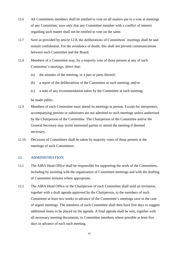- 12.6 All Committees members shall be entitled to vote on all matters put to a vote at meetings of any Committee; save only that any Committee member with a conflict of interest regarding such matter shall not be entitled to vote on the same.
- 12.7 Save as provided by article [12.8,](#page-9-1) the deliberations of Committees' meetings shall be and remain confidential. For the avoidance of doubt, this shall not prevent communications between each Committee and the Board.
- <span id="page-9-1"></span>12.8 Members of a Committee may, by a majority vote of those present at any of such Committee's meetings, direct that:
	- (a) the minutes of the meeting, or a part or parts thereof;
	- (b) a report of the deliberations of the Committee at such meeting; and/or
	- (c) a note of any recommendation taken by the Committee at such meeting;

be made public.

- 12.9 Members of each Committee must attend its meetings in person. Except for interpreters, accompanying persons or substitutes are not admitted to such meetings unless authorised by the Chairperson of the Committee. The Chairperson of the Committee and/or the General Secretary may invite interested parties to attend the meeting if deemed necessary.
- 12.10 Decisions of Committees shall be taken by majority votes of those present at the meetings of such Committees.

# <span id="page-9-0"></span>**13. ADMINISTRATION**

- 13.1 The AIBA Head Office shall be responsible for supporting the work of the Committees, including by assisting with the organisation of Committee meetings and with the drafting of Committee minutes where appropriate.
- 13.2 The AIBA Head Office or the Chairperson of each Committee shall send an invitation, together with a draft agenda approved by the Chairperson, to the members of such Committee at least two weeks in advance of the Committee's meetings save in the case of urgent meetings. The members of such Committee shall then have five days to suggest additional items to be placed on the agenda. A final agenda shall be sent, together with all necessary meeting documents, to Committee members where possible at least five days in advance of each such meeting.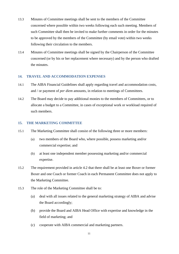- <span id="page-10-2"></span>13.3 Minutes of Committee meetings shall be sent to the members of the Committee concerned where possible within two weeks following each such meeting. Members of such Committee shall then be invited to make further comments in order for the minutes to be approved by the members of the Committee (by email vote) within two weeks following their circulation to the members.
- 13.4 Minutes of Committee meetings shall be signed by the Chairperson of the Committee concerned (or by his or her replacement where necessary) and by the person who drafted the minutes.

# <span id="page-10-0"></span>**14. TRAVEL AND ACCOMMODATION EXPENSES**

- 14.1 The AIBA Financial Guidelines shall apply regarding travel and accommodation costs, and / or payment of *per diem* amounts, in relation to meetings of Committees.
- 14.2 The Board may decide to pay additional monies to the members of Committees, or to allocate a budget to a Committee, in cases of exceptional work or workload required of such members.

#### <span id="page-10-1"></span>**15. THE MARKETING COMMITTEE**

- 15.1 The Marketing Committee shall consist of the following three or more members:
	- (a) two members of the Board who, where possible, possess marketing and/or commercial expertise; and
	- (b) at least one independent member possessing marketing and/or commercial expertise.
- 15.2 The requirement provided in article [4.2](#page-4-3) that there shall be at least one Boxer or former Boxer and one Coach or former Coach in each Permanent Committee does not apply to the Marketing Committee.
- 15.3 The role of the Marketing Committee shall be to:
	- (a) deal with all issues related to the general marketing strategy of AIBA and advise the Board accordingly;
	- (b) provide the Board and AIBA Head Office with expertise and knowledge in the field of marketing; and
	- (c) cooperate with AIBA commercial and marketing partners.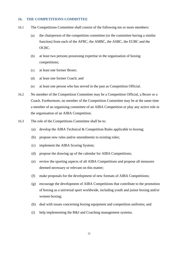#### <span id="page-11-0"></span>**16. THE COMPETITIONS COMMITTEE**

- 16.1 The Competitions Committee shall consist of the following ten or more members:
	- (a) the chairperson of the competition committee (or the committee having a similar function) from each of the AFBC, the AMBC, the ASBC, the EUBC and the OCBC.
	- (b) at least two persons possessing expertise in the organisation of boxing competitions;
	- (c) at least one former Boxer;
	- (d) at least one former Coach; and
	- (e) at least one person who has served in the past as Competition Official.
- 16.2 No member of the Competition Committee may be a Competition Official, a Boxer or a Coach. Furthermore, no member of the Competition Committee may be at the same time a member of an organising committee of an AIBA Competition or play any active role in the organisation of an AIBA Competition.
- 16.3 The role of the Competitions Committee shall be to:
	- (a) develop the AIBA Technical & Competition Rules applicable to boxing;
	- (b) propose new rules and/or amendments to existing rules;
	- (c) implement the AIBA Scoring System;
	- (d) propose the drawing up of the calendar for AIBA Competitions;
	- (e) review the sporting aspects of all AIBA Competitions and propose all measures deemed necessary or relevant on this matter;
	- (f) make proposals for the development of new formats of AIBA Competitions;
	- (g) encourage the development of AIBA Competitions that contribute to the promotion of boxing as a universal sport worldwide, including youth and junior boxing and/or women boxing;
	- (h) deal with issues concerning boxing equipment and competition uniforms; and
	- (i) help implementing the R&J and Coaching management systems.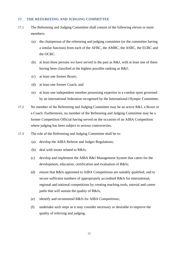#### <span id="page-12-0"></span>**17. THE REFEREEING AND JUDGING COMMITTEE**

- 17.1 The Refereeing and Judging Committee shall consist of the following eleven or more members:
	- (a) the chairperson of the refereeing and judging committee (or the committee having a similar function) from each of the AFBC, the AMBC, the ASBC, the EUBC and the OCBC.
	- (b) at least three persons wo have served in the past as R&J, with at least one of them having been classified at the highest possible ranking as R&J;
	- (c) at least one former Boxer;
	- (d) at least one former Coach; and
	- (e) at least one independent member possessing expertise in a combat sport governed by an international federation recognised by the International Olympic Committee.
- 17.2 No member of the Refereeing and Judging Committee may be an active R&J, a Boxer or a Coach. Furthermore, no member of the Refereeing and Judging Committee may be a former Competition Official having served on the occasion of an AIBA Competition where judging has been subject to serious controversies.
- 17.3 The role of the Refereeing and Judging Committee shall be to:
	- (a) develop the AIBA Referee and Judges Regulations;
	- (b) deal with issues related to R&Js;
	- (c) develop and implement the AIBA R&J Management System that caters for the development, education, certification and evaluation of R&Js;
	- (d) ensure that R&Js appointed to AIBA Competitions are suitably qualified, and to secure sufficient numbers of appropriately accredited R&Js for international, regional and national competitions by creating teaching tools, tutorial and career paths that will sustain the quality of R&Js;
	- (e) identify and recommend R&Js for AIBA Competitions;
	- (f) undertake such steps as it may consider necessary or desirable to improve the quality of referring and judging.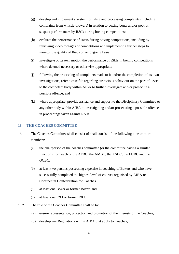- (g) develop and implement a system for filing and processing complaints (including complaints from whistle-blowers) in relation to boxing bouts and/or poor or suspect performances by R&Js during boxing competitions;
- (h) evaluate the performance of R&Js during boxing competitions, including by reviewing video footages of competitions and implementing further steps to monitor the quality of R&Js on an ongoing basis;
- (i) investigate of its own motion the performance of R&Js in boxing competitions where deemed necessary or otherwise appropriate;
- (j) following the processing of complaints made to it and/or the completion of its own investigations, refer a case file regarding suspicious behaviour on the part of R&Js to the competent body within AIBA to further investigate and/or prosecute a possible offence; and
- (k) where appropriate, provide assistance and support to the Disciplinary Committee or any other body within AIBA to investigating and/or prosecuting a possible offence in proceedings taken against R&Js.

#### <span id="page-13-0"></span>**18. THE COACHES COMMITTEE**

- 18.1 The Coaches Committee shall consist of shall consist of the following nine or more members:
	- (a) the chairperson of the coaches committee (or the committee having a similar function) from each of the AFBC, the AMBC, the ASBC, the EUBC and the OCBC.
	- (b) at least two persons possessing expertise in coaching of Boxers and who have successfully completed the highest level of courses organised by AIBA or Continental Confederation for Coaches
	- (c) at least one Boxer or former Boxer; and
	- (d) at least one R&J or former R&J.
- 18.2 The role of the Coaches Committee shall be to:
	- (a) ensure representation, protection and promotion of the interests of the Coaches;
	- (b) develop any Regulations within AIBA that apply to Coaches;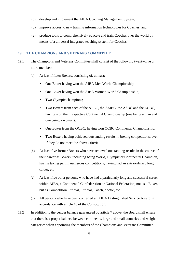- (c) develop and implement the AIBA Coaching Management System;
- (d) improve access to new training information technologies for Coaches; and
- (e) produce tools to comprehensively educate and train Coaches over the world by means of a universal integrated teaching system for Coaches.

#### <span id="page-14-0"></span>**19. THE CHAMPIONS AND VETERANS COMMITTEE**

- 19.1 The Champions and Veterans Committee shall consist of the following twenty-five or more members:
	- (a) At least fifteen Boxers, consisting of, at least:
		- One Boxer having won the AIBA Men World Championship;
		- One Boxer having won the AIBA Women World Championship;
		- Two Olympic champions;
		- Two Boxers from each of the AFBC, the AMBC, the ASBC and the EUBC, having won their respective Continental Championship (one being a man and one being a woman);
		- One Boxer from the OCBC, having won OCBC Continental Championship;
		- Two Boxers having achieved outstanding results in boxing competitions, even if they do not meet the above criteria.
	- (b) At least five former Boxers who have achieved outstanding results in the course of their career as Boxers, including being World, Olympic or Continental Champion, having taking part in numerous competitions, having had an extraordinary long career, etc
	- (c) At least five other persons, who have had a particularly long and successful career within AIBA, a Continental Confederation or National Federation, not as a Boxer, but as Competition Official, Official, Coach, doctor, etc.
	- (d) All persons who have been conferred an AIBA Distinguished Service Award in accordance with article 40 of the Constitution.
- 19.2 In addition to the gender balance guaranteed by article [7](#page-6-1) above, the Board shall ensure that there is a proper balance between continents, large and small countries and weight categories when appointing the members of the Champions and Veterans Committee.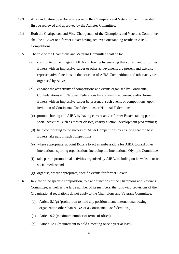- 19.3 Any candidature by a Boxer to serve on the Champions and Veterans Committee shall first be reviewed and approved by the Athletes Committee.
- 19.4 Both the Chairperson and Vice-Chairperson of the Champions and Veterans Committee shall be a Boxer or a former Boxer having achieved outstanding results in AIBA Competitions.
- 19.5 The role of the Champions and Veterans Committee shall be to:
	- (a) contribute to the image of AIBA and boxing by ensuring that current and/or former Boxers with an impressive career or other achievements are present and exercise representative functions on the occasion of AIBA Competitions and other activities organised by AIBA;
	- (b) enhance the attractivity of competitions and events organised by Continental Confederations and National Federations by allowing that current and/or former Boxers with an impressive career be present at such events or competitions, upon invitation of Continental Confederations or National Federations;
	- (c) promote boxing and AIBA by having current and/or former Boxers taking part in social activities, such as master classes, charity auction, development programmes;
	- (d) help contributing to the success of AIBA Competitions by ensuring that the best Boxers take part in such competitions;
	- (e) where appropriate, appoint Boxers to act as ambassadors for AIBA toward other international sporting organisations including the International Olympic Committee
	- (f) take part in promotional activities organised by AIBA, including on its website or on social medias; and
	- (g) organise, where appropriate, specific events for former Boxers.
- 19.6 In view of the specific composition, role and functions of the Champions and Veterans Committee, as well as the large number of its members, the following provisions of the Organisational regulations do not apply to the Champions and Veterans Committee:
	- (a) Article [5.1](#page-4-4)[\(g\)](#page-5-0) (prohibition to hold any position in any international boxing organization other than AIBA or a Continental Confederation.)
	- (b) Article [9.2](#page-7-4) (maximum number of terms of office)
	- (c) Article [12.1](#page-8-2) (requirement to hold a meeting once a year at least)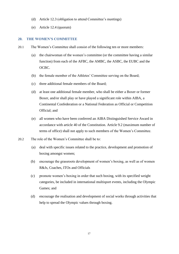- (d) Article [12.3](#page-8-3) (obligation to attend Committee's meetings)
- (e) Article [12.4](#page-8-4) (quorum)

### <span id="page-16-0"></span>**20. THE WOMEN'S COMMITTEE**

- 20.1 The Women's Committee shall consist of the following ten or more members:
	- (a) the chairwoman of the women's committee (or the committee having a similar function) from each of the AFBC, the AMBC, the ASBC, the EUBC and the OCBC.
	- (b) the female member of the Athletes' Committee serving on the Board;
	- (c) three additional female members of the Board;
	- (d) at least one additional female member, who shall be either a Boxer or former Boxer, and/or shall play or have played a significant role within AIBA, a Continental Confederation or a National Federation as Official or Competition Official; and
	- (e) all women who have been conferred an AIBA Distinguished Service Award in accordance with article 40 of the Constitution. Article [9.2](#page-7-4) (maximum number of terms of office) shall not apply to such members of the Women's Committee.
- 20.2 The role of the Women's Committee shall be to:
	- (a) deal with specific issues related to the practice, development and promotion of boxing amongst women;
	- (b) encourage the grassroots development of women's boxing, as well as of women R&Js, Coaches, ITOs and Officials
	- (c) promote women's boxing in order that such boxing, with its specified weight categories, be included in international multisport events, including the Olympic Games; and
	- (d) encourage the realisation and development of social works through activities that help to spread the Olympic values through boxing.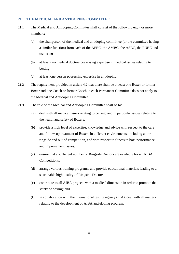#### <span id="page-17-0"></span>**21. THE MEDICAL AND ANTIDOPING COMMITTEE**

- 21.1 The Medical and Antidoping Committee shall consist of the following eight or more members:
	- (a) the chairperson of the medical and antidoping committee (or the committee having a similar function) from each of the AFBC, the AMBC, the ASBC, the EUBC and the OCBC.
	- (b) at least two medical doctors possessing expertise in medical issues relating to boxing;
	- (c) at least one person possessing expertise in antidoping.
- 21.2 The requirement provided in article [4.2](#page-4-3) that there shall be at least one Boxer or former Boxer and one Coach or former Coach in each Permanent Committee does not apply to the Medical and Antidoping Committee.
- 21.3 The role of the Medical and Antidoping Committee shall be to:
	- (a) deal with all medical issues relating to boxing, and in particular issues relating to the health and safety of Boxers;
	- (b) provide a high level of expertise, knowledge and advice with respect to the care and follow-up treatment of Boxers in different environments, including at the ringside and out-of-competition, and with respect to fitness to box, performance and improvement issues;
	- (c) ensure that a sufficient number of Ringside Doctors are available for all AIBA Competitions;
	- (d) arrange various training programs, and provide educational materials leading to a sustainable high quality of Ringside Doctors;
	- (e) contribute to all AIBA projects with a medical dimension in order to promote the safety of boxing; and
	- (f) in collaboration with the international testing agency (ITA), deal with all matters relating to the development of AIBA anti-doping program.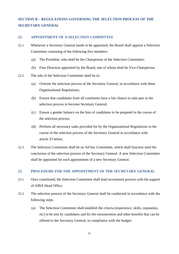# <span id="page-18-0"></span>**SECTION B – REGULATIONS GOVERNING THE SELECTION PROCESS OF THE SECRETARY GENERAL**

### <span id="page-18-1"></span>**22. APPOINTMENT OF A SELECTION COMMITTEE**

- 22.1 Whenever a Secretary General needs to be appointed, the Board shall appoint a Selection Committee consisting of the following five members:
	- (a) The President, who shall be the Chairperson of the Selection Committee;
	- (b) Four Directors appointed by the Board, one of whom shall be Vice-Chairperson.
- 22.2 The role of the Selection Committee shall be to:
	- (a) Oversee the selection process of the Secretary General, in accordance with these Organisational Regulations;
	- (b) Ensure that candidates from all continents have a fair chance to take part in the selection process to become Secretary General;
	- (c) Ensure a gender balance on the lists of candidates to be prepared in the course of the selection process;
	- (d) Perform all necessary tasks provided for by the Organisational Regulations in the course of the selection process of the Secretary General in accordance with article [23](#page-18-2) below.
- 22.3 The Selection Committee shall be an Ad hoc Committee, which shall function until the conclusion of the selection process of the Secretary General. A new Selection Committee shall be appointed for each appointment of a new Secretary General.

#### <span id="page-18-2"></span>**23. PROCEDURE FOR THE APPOINTMENT OF THE SECRETARY GENERAL**

- 23.1 Once constituted, the Selection Committee shall lead recruitment process with the support of AIBA Head Office.
- 23.2 The selection process of the Secretary General shall be conducted in accordance with the following steps:
	- (a) The Selection Committee shall establish the criteria (experience, skills, reputation, etc) to be met by candidates and fix the remuneration and other benefits that can be offered to the Secretary General, in compliance with the budget;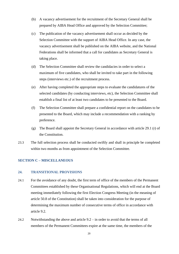- (b) A vacancy advertisement for the recruitment of the Secretary General shall be prepared by AIBA Head Office and approved by the Selection Committee;
- (c) The publication of the vacancy advertisement shall occur as decided by the Selection Committee with the support of AIBA Head Office. In any case, the vacancy advertisement shall be published on the AIBA website, and the National Federations shall be informed that a call for candidates as Secretary General is taking place.
- (d) The Selection Committee shall review the candidacies in order to select a maximum of five candidates, who shall be invited to take part in the following steps (interviews etc.) of the recruitment process.
- (e) After having completed the appropriate steps to evaluate the candidatures of the selected candidates (by conducting interviews, etc), the Selection Committee shall establish a final list of at least two candidates to be presented to the Board.
- (f) The Selection Committee shall prepare a confidential report on the candidates to be presented to the Board, which may include a recommendation with a ranking by preference.
- (g) The Board shall appoint the Secretary General in accordance with article 29.1 (r) of the Constitution.
- 23.3 The full selection process shall be conducted swiftly and shall in principle be completed within two months as from appointment of the Selection Committee.

# <span id="page-19-0"></span>**SECTION C – MISCELLANEOUS**

#### <span id="page-19-1"></span>**24. TRANSITIONAL PROVISIONS**

- <span id="page-19-2"></span>24.1 For the avoidance of any doubt, the first term of office of the members of the Permanent Committees established by these Organisational Regulations, which will end at the Board meeting immediately following the first Election Congress Meeting (in the meaning of article 50.8 of the Constitution) shall be taken into consideration for the purpose of determining the maximum number of consecutive terms of office in accordance with article [9.2.](#page-7-4)
- 24.2 Notwithstanding the above and article [9.2](#page-7-4) in order to avoid that the terms of all members of the Permanent Committees expire at the same time, the members of the